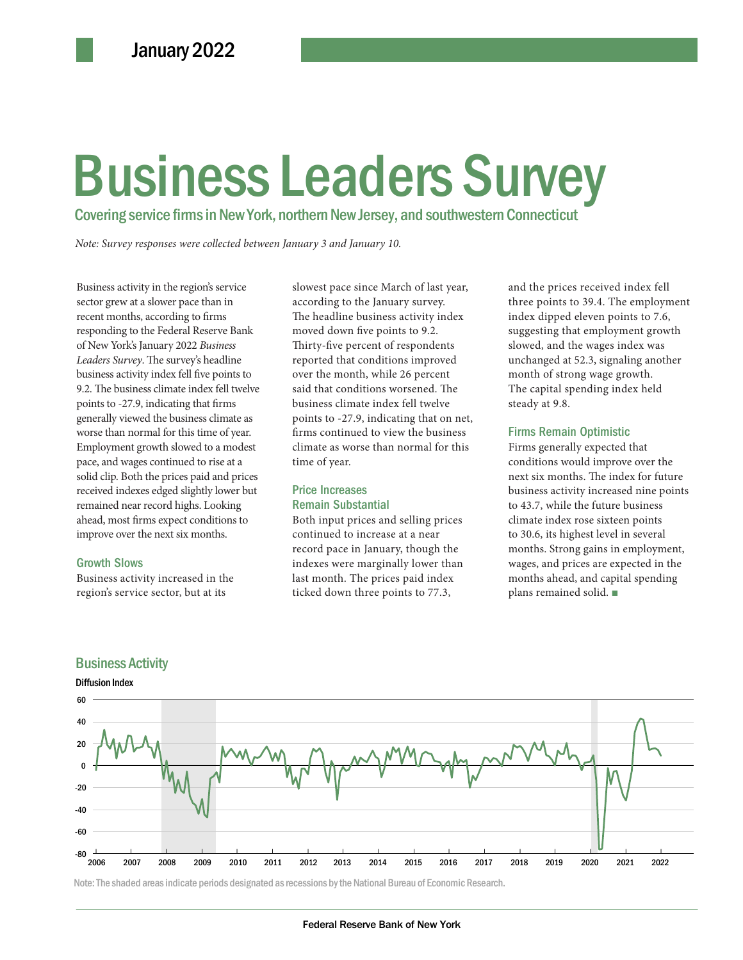# $B$ usiness Leaders Survey Business Leaders Survey

Covering service firms in New York, northern New Jersey, and southwestern Connecticut

Note: Survey responses were collected between January 3 and January 10.

ntinued to rise at a time of year. conditions wou<br>prices paid and prices<br>lged slightly lower but **Price Increases** business activity<br>property and highs. Looking **Price Increases** business activity<br>to 43.7, while the Business activity in the region's service sector grew at a slower pace than in recent months, according to firms responding to the Federal Reserve Bank of New York's January 2022 *Business Leaders Survey*. The survey's headline business activity index fell five points to 9.2. The business climate index fell twelve points to -27.9, indicating that firms generally viewed the business climate as worse than normal for this time of year. Employment growth slowed to a modest pace, and wages continued to rise at a solid clip. Both the prices paid and prices received indexes edged slightly lower but remained near record highs. Looking ahead, most firms expect conditions to improve over the next six months.

#### Growth Slows

Business activity increased in the region's service sector, but at its

slowest pace since March of last year, according to the January survey. The headline business activity index moved down five points to 9.2. Thirty-five percent of respondents reported that conditions improved over the month, while 26 percent said that conditions worsened. The business climate index fell twelve points to -27.9, indicating that on net, firms continued to view the business climate as worse than normal for this time of year.

### Price Increases Remain Substantial

Both input prices and selling prices continued to increase at a near record pace in January, though the indexes were marginally lower than last month. The prices paid index ticked down three points to 77.3,

and the prices received index fell three points to 39.4. The employment index dipped eleven points to 7.6, suggesting that employment growth slowed, and the wages index was unchanged at 52.3, signaling another month of strong wage growth. The capital spending index held steady at 9.8.

### Firms Remain Optimistic

Firms generally expected that conditions would improve over the next six months. The index for future business activity increased nine points to 43.7, while the future business climate index rose sixteen points to 30.6, its highest level in several months. Strong gains in employment, wages, and prices are expected in the months ahead, and capital spending plans remained solid. ■



## Business Activity

Diffusion Index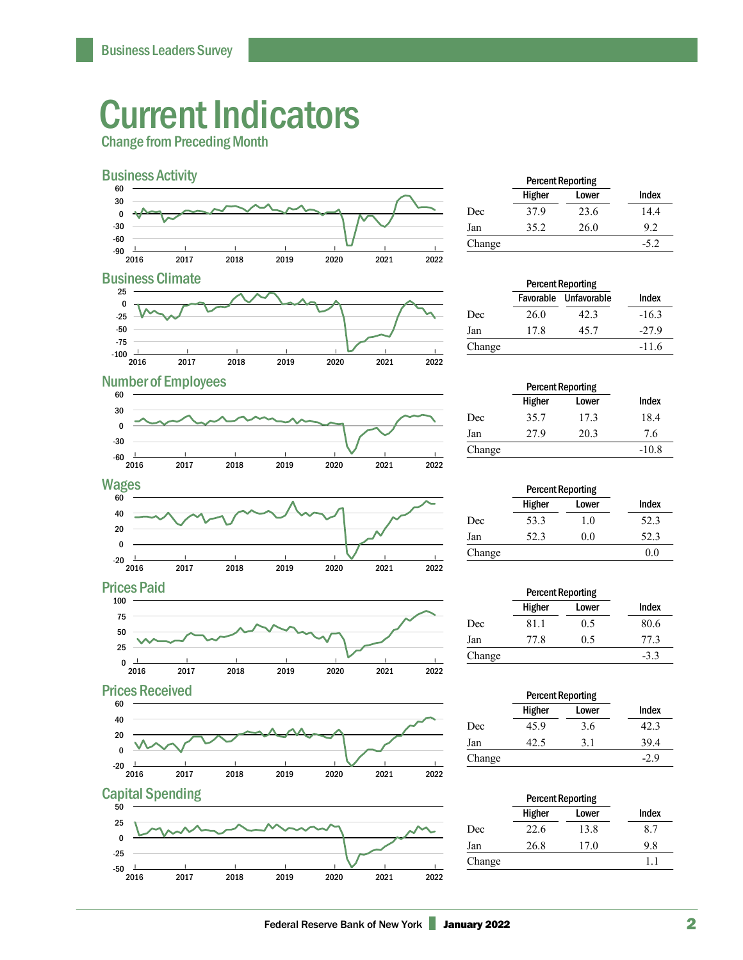# Current Indicators

Change from Preceding Month



|        | <b>Percent Reporting</b> |       |        |  |
|--------|--------------------------|-------|--------|--|
|        | Higher                   | Lower | Index  |  |
| Dec    | 37.9                     | 23.6  | 14.4   |  |
| Jan    | 35.2                     | 26.0  | 9.2    |  |
| Change |                          |       | $-5.2$ |  |

## **Business Climate**

**Number of Employees** 



|      |      | Index                                             |
|------|------|---------------------------------------------------|
| 26.0 | 42.3 | $-16.3$                                           |
| 17.8 | 45.7 | $-27.9$                                           |
|      |      | $-11.6$                                           |
|      |      | <b>Percent Reporting</b><br>Favorable Unfavorable |

#### $2016$ | 2017 | 2018 | 2019 | 2020 | 2021 | 2022 | -60 -30  $\mathbf{0}$  30 60









|        | <b>Percent Reporting</b> |       |         |  |
|--------|--------------------------|-------|---------|--|
|        | Higher                   | Lower | Index   |  |
| Dec    | 35.7                     | 17.3  | 18.4    |  |
| Jan    | 27.9                     | 20.3  | 7.6     |  |
| Change |                          |       | $-10.8$ |  |
|        |                          |       |         |  |

|        | <b>Percent Reporting</b> |       |       |
|--------|--------------------------|-------|-------|
|        | Higher                   | Lower | Index |
| Dec    | 53.3                     | 1.0   | 52.3  |
| Jan    | 52.3                     | 0.0   | 52.3  |
| Change |                          |       | 0.0   |

|        | <b>Percent Reporting</b> |       |        |
|--------|--------------------------|-------|--------|
|        | Higher                   | Lower | Index  |
| Dec    | 81.1                     | 0.5   | 80.6   |
| Jan    | 77.8                     | 0.5   | 77.3   |
| Change |                          |       | $-3.3$ |

|        | <b>Percent Reporting</b> |       |              |  |
|--------|--------------------------|-------|--------------|--|
|        | <b>Higher</b>            | Lower | <b>Index</b> |  |
| Dec    | 45.9                     | 3.6   | 42.3         |  |
| Jan    | 42.5                     | 31    | 39.4         |  |
| Change |                          |       | -29          |  |

| <b>Percent Reporting</b> |       |       |
|--------------------------|-------|-------|
| <b>Higher</b>            | Lower | Index |
| 22.6                     | 13.8  | 8.7   |
| 26.8                     | 17.0  | 9.8   |
|                          |       | 11    |
|                          |       |       |